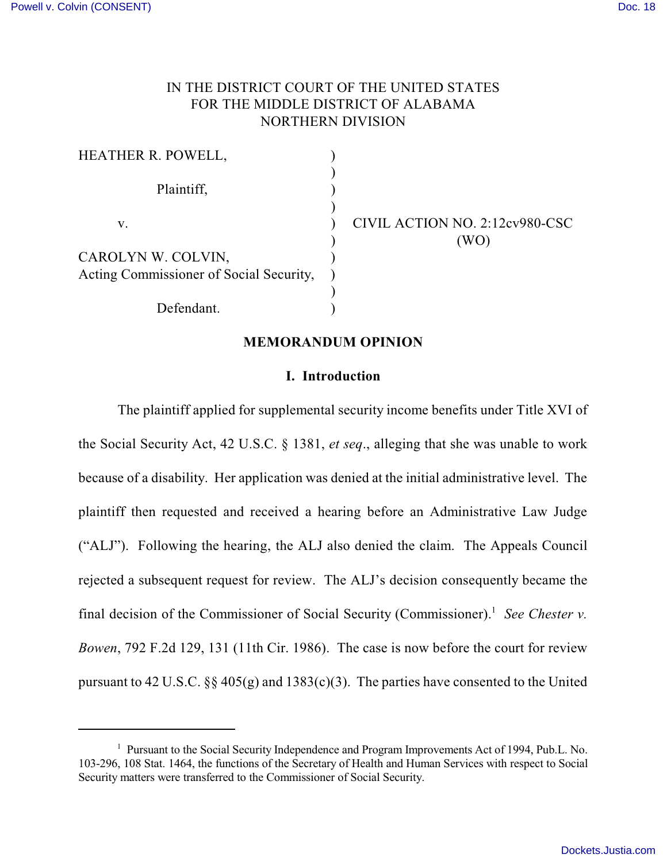# IN THE DISTRICT COURT OF THE UNITED STATES FOR THE MIDDLE DISTRICT OF ALABAMA NORTHERN DIVISION

| HEATHER R. POWELL,                      |                                |
|-----------------------------------------|--------------------------------|
| Plaintiff,                              |                                |
| v.                                      | CIVIL ACTION NO. 2:12cv980-CSC |
|                                         | (WO`                           |
| CAROLYN W. COLVIN,                      |                                |
| Acting Commissioner of Social Security, |                                |
|                                         |                                |
| Defendant.                              |                                |

#### **MEMORANDUM OPINION**

### **I. Introduction**

The plaintiff applied for supplemental security income benefits under Title XVI of the Social Security Act, 42 U.S.C. § 1381, *et seq*., alleging that she was unable to work because of a disability. Her application was denied at the initial administrative level. The plaintiff then requested and received a hearing before an Administrative Law Judge ("ALJ"). Following the hearing, the ALJ also denied the claim. The Appeals Council rejected a subsequent request for review. The ALJ's decision consequently became the final decision of the Commissioner of Social Security (Commissioner).<sup>1</sup> See Chester *v*. *Bowen*, 792 F.2d 129, 131 (11th Cir. 1986). The case is now before the court for review pursuant to 42 U.S.C.  $\S\S 405(g)$  and 1383(c)(3). The parties have consented to the United

<sup>&</sup>lt;sup>1</sup> Pursuant to the Social Security Independence and Program Improvements Act of 1994, Pub.L. No. 103-296, 108 Stat. 1464, the functions of the Secretary of Health and Human Services with respect to Social Security matters were transferred to the Commissioner of Social Security.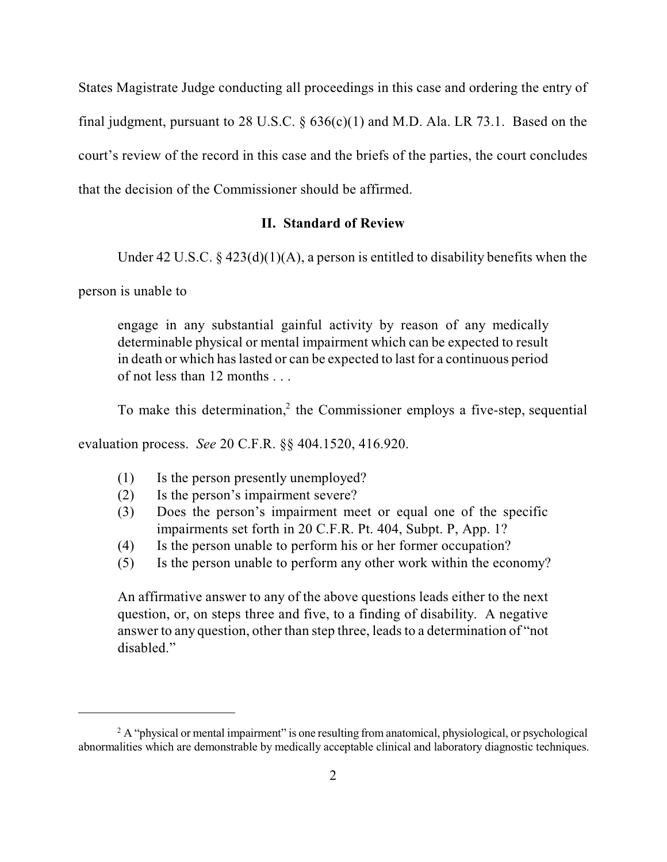States Magistrate Judge conducting all proceedings in this case and ordering the entry of final judgment, pursuant to 28 U.S.C.  $\S$  636(c)(1) and M.D. Ala. LR 73.1. Based on the court's review of the record in this case and the briefs of the parties, the court concludes that the decision of the Commissioner should be affirmed.

## **II. Standard of Review**

Under 42 U.S.C.  $\S$  423(d)(1)(A), a person is entitled to disability benefits when the

person is unable to

engage in any substantial gainful activity by reason of any medically determinable physical or mental impairment which can be expected to result in death or which haslasted or can be expected to last for a continuous period of not less than 12 months . . .

To make this determination,<sup>2</sup> the Commissioner employs a five-step, sequential

evaluation process. *See* 20 C.F.R. §§ 404.1520, 416.920.

- (1) Is the person presently unemployed?
- (2) Is the person's impairment severe?
- (3) Does the person's impairment meet or equal one of the specific impairments set forth in 20 C.F.R. Pt. 404, Subpt. P, App. 1?
- (4) Is the person unable to perform his or her former occupation?
- (5) Is the person unable to perform any other work within the economy?

An affirmative answer to any of the above questions leads either to the next question, or, on steps three and five, to a finding of disability. A negative answer to any question, other than step three, leadsto a determination of "not disabled."

 $2A$  "physical or mental impairment" is one resulting from anatomical, physiological, or psychological abnormalities which are demonstrable by medically acceptable clinical and laboratory diagnostic techniques.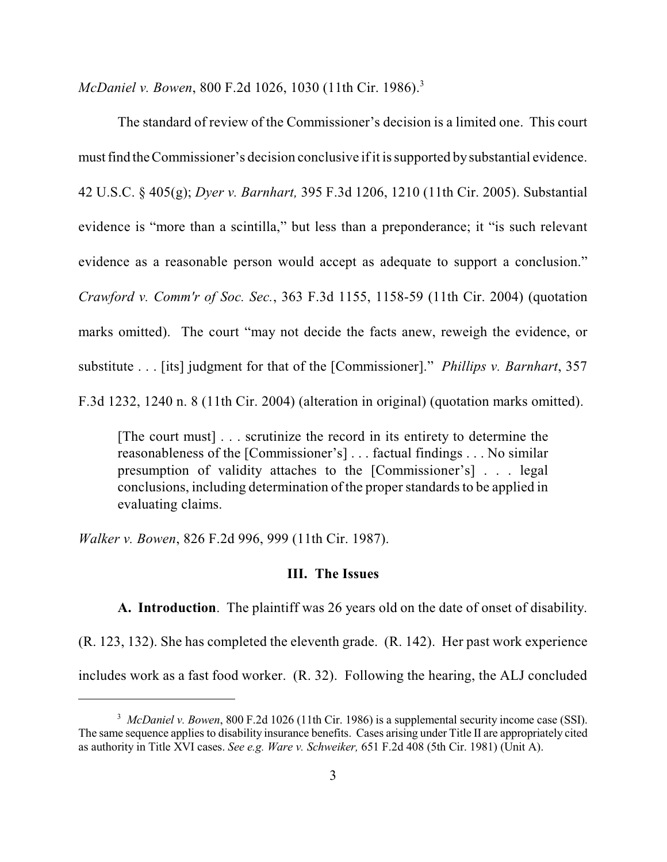*McDaniel v. Bowen*, 800 F.2d 1026, 1030 (11th Cir. 1986). 3

The standard of review of the Commissioner's decision is a limited one. This court must find the Commissioner's decision conclusive if it is supported by substantial evidence. 42 U.S.C. § 405(g); *Dyer v. Barnhart,* 395 F.3d 1206, 1210 (11th Cir. 2005). Substantial evidence is "more than a scintilla," but less than a preponderance; it "is such relevant evidence as a reasonable person would accept as adequate to support a conclusion." *Crawford v. Comm'r of Soc. Sec.*, 363 F.3d 1155, 1158-59 (11th Cir. 2004) (quotation marks omitted). The court "may not decide the facts anew, reweigh the evidence, or substitute . . . [its] judgment for that of the [Commissioner]." *Phillips v. Barnhart*, 357 F.3d 1232, 1240 n. 8 (11th Cir. 2004) (alteration in original) (quotation marks omitted).

[The court must] . . . scrutinize the record in its entirety to determine the reasonableness of the [Commissioner's] . . . factual findings . . . No similar presumption of validity attaches to the [Commissioner's] . . . legal conclusions, including determination of the proper standards to be applied in evaluating claims.

*Walker v. Bowen*, 826 F.2d 996, 999 (11th Cir. 1987).

# **III. The Issues**

**A. Introduction**. The plaintiff was 26 years old on the date of onset of disability. (R. 123, 132). She has completed the eleventh grade. (R. 142). Her past work experience includes work as a fast food worker. (R. 32). Following the hearing, the ALJ concluded

<sup>&</sup>lt;sup>3</sup> McDaniel v. Bowen, 800 F.2d 1026 (11th Cir. 1986) is a supplemental security income case (SSI). The same sequence applies to disability insurance benefits. Cases arising under Title II are appropriately cited as authority in Title XVI cases. *See e.g. Ware v. Schweiker,* 651 F.2d 408 (5th Cir. 1981) (Unit A).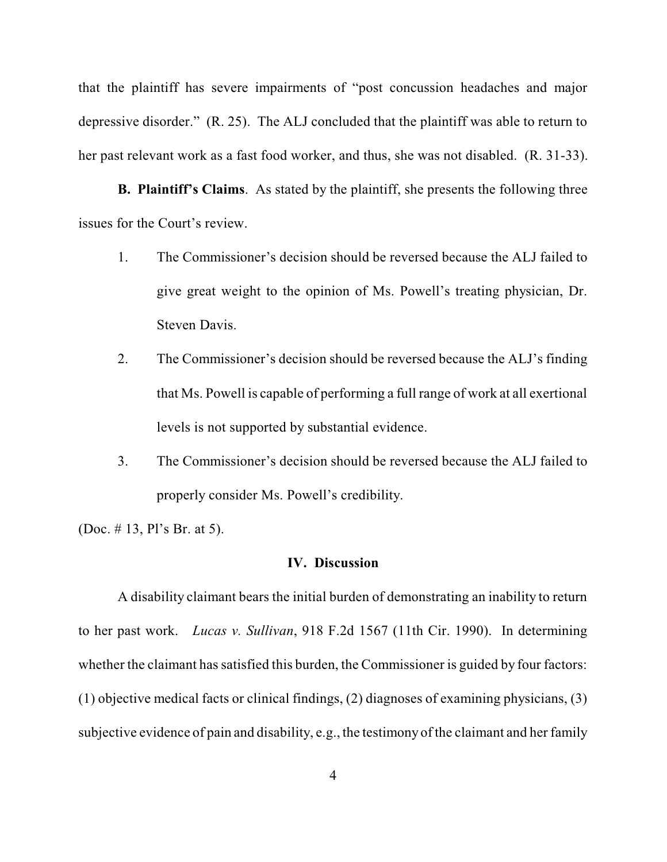that the plaintiff has severe impairments of "post concussion headaches and major depressive disorder." (R. 25). The ALJ concluded that the plaintiff was able to return to her past relevant work as a fast food worker, and thus, she was not disabled. (R. 31-33).

 **B. Plaintiff's Claims**. As stated by the plaintiff, she presents the following three issues for the Court's review.

- 1. The Commissioner's decision should be reversed because the ALJ failed to give great weight to the opinion of Ms. Powell's treating physician, Dr. Steven Davis.
- 2. The Commissioner's decision should be reversed because the ALJ's finding that Ms. Powell is capable of performing a full range of work at all exertional levels is not supported by substantial evidence.
- 3. The Commissioner's decision should be reversed because the ALJ failed to properly consider Ms. Powell's credibility.

(Doc. # 13, Pl's Br. at 5).

### **IV. Discussion**

A disability claimant bears the initial burden of demonstrating an inability to return to her past work. *Lucas v. Sullivan*, 918 F.2d 1567 (11th Cir. 1990). In determining whether the claimant has satisfied this burden, the Commissioner is guided by four factors: (1) objective medical facts or clinical findings, (2) diagnoses of examining physicians, (3) subjective evidence of pain and disability, e.g., the testimony of the claimant and her family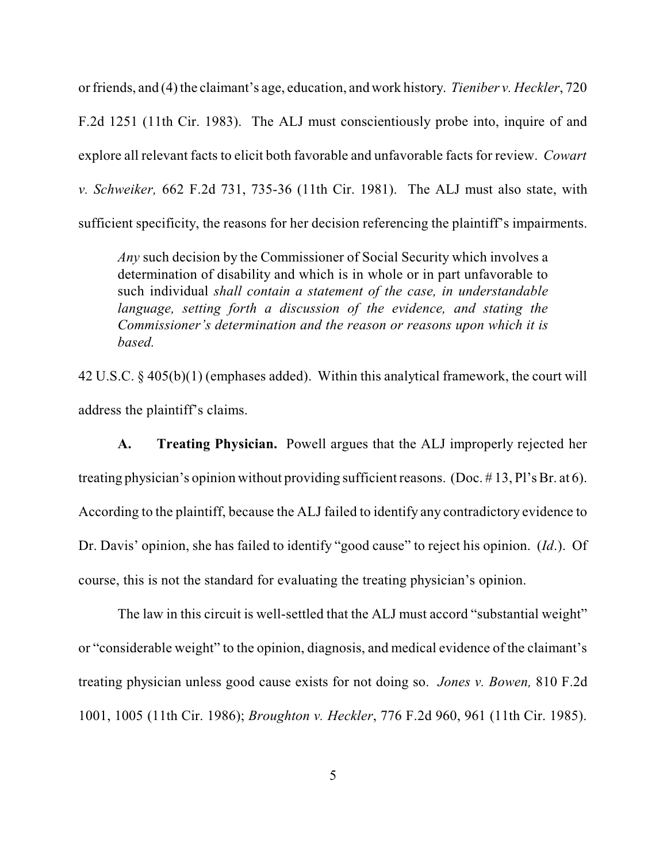or friends, and (4) the claimant's age, education, and work history. *Tieniber v. Heckler*, 720 F.2d 1251 (11th Cir. 1983). The ALJ must conscientiously probe into, inquire of and explore all relevant facts to elicit both favorable and unfavorable facts for review. *Cowart v. Schweiker,* 662 F.2d 731, 735-36 (11th Cir. 1981). The ALJ must also state, with sufficient specificity, the reasons for her decision referencing the plaintiff's impairments.

*Any* such decision by the Commissioner of Social Security which involves a determination of disability and which is in whole or in part unfavorable to such individual *shall contain a statement of the case, in understandable language, setting forth a discussion of the evidence, and stating the Commissioner's determination and the reason or reasons upon which it is based.*

42 U.S.C. § 405(b)(1) (emphases added). Within this analytical framework, the court will address the plaintiff's claims.

**A. Treating Physician.** Powell argues that the ALJ improperly rejected her treating physician's opinion without providing sufficient reasons. (Doc.  $\# 13$ , Pl's Br. at 6). According to the plaintiff, because the ALJ failed to identify any contradictory evidence to Dr. Davis' opinion, she has failed to identify "good cause" to reject his opinion. (*Id*.). Of course, this is not the standard for evaluating the treating physician's opinion.

The law in this circuit is well-settled that the ALJ must accord "substantial weight" or "considerable weight" to the opinion, diagnosis, and medical evidence of the claimant's treating physician unless good cause exists for not doing so. *Jones v. Bowen,* 810 F.2d 1001, 1005 (11th Cir. 1986); *Broughton v. Heckler*, 776 F.2d 960, 961 (11th Cir. 1985).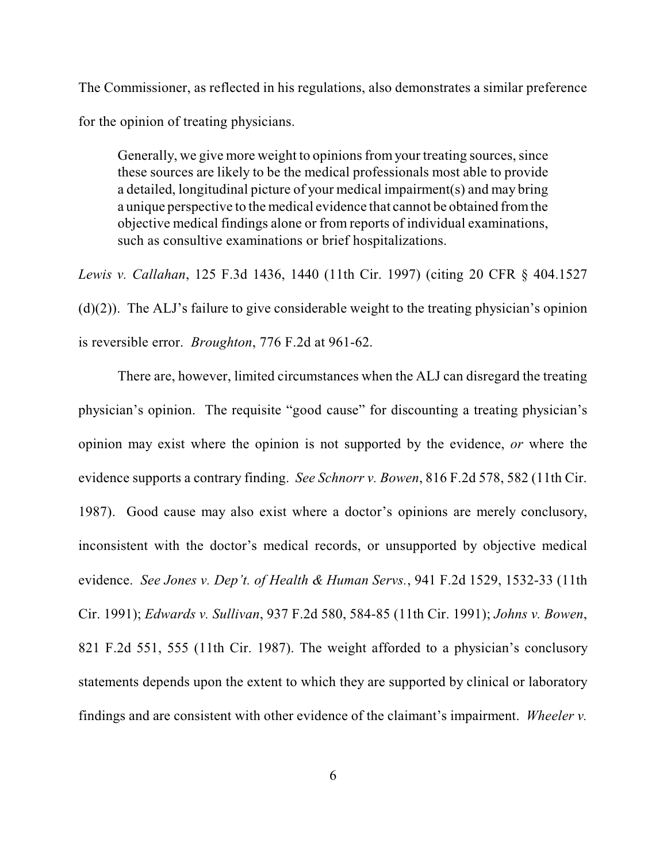The Commissioner, as reflected in his regulations, also demonstrates a similar preference for the opinion of treating physicians.

Generally, we give more weight to opinions from your treating sources, since these sources are likely to be the medical professionals most able to provide a detailed, longitudinal picture of your medical impairment(s) and may bring a unique perspective to the medical evidence that cannot be obtained fromthe objective medical findings alone or from reports of individual examinations, such as consultive examinations or brief hospitalizations.

*Lewis v. Callahan*, 125 F.3d 1436, 1440 (11th Cir. 1997) (citing 20 CFR § 404.1527 (d)(2)). The ALJ's failure to give considerable weight to the treating physician's opinion is reversible error. *Broughton*, 776 F.2d at 961-62.

There are, however, limited circumstances when the ALJ can disregard the treating physician's opinion. The requisite "good cause" for discounting a treating physician's opinion may exist where the opinion is not supported by the evidence, *or* where the evidence supports a contrary finding. *See Schnorr v. Bowen*, 816 F.2d 578, 582 (11th Cir. 1987). Good cause may also exist where a doctor's opinions are merely conclusory, inconsistent with the doctor's medical records, or unsupported by objective medical evidence. *See Jones v. Dep't. of Health & Human Servs.*, 941 F.2d 1529, 1532-33 (11th Cir. 1991); *Edwards v. Sullivan*, 937 F.2d 580, 584-85 (11th Cir. 1991); *Johns v. Bowen*, 821 F.2d 551, 555 (11th Cir. 1987). The weight afforded to a physician's conclusory statements depends upon the extent to which they are supported by clinical or laboratory findings and are consistent with other evidence of the claimant's impairment. *Wheeler v.*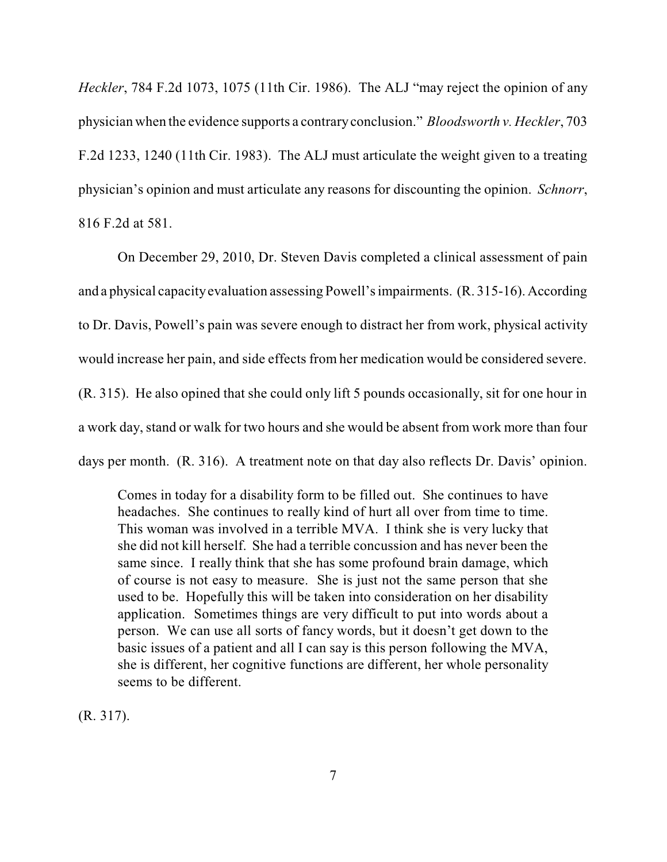*Heckler*, 784 F.2d 1073, 1075 (11th Cir. 1986). The ALJ "may reject the opinion of any physician when the evidence supports a contraryconclusion." *Bloodsworth v. Heckler*, 703 F.2d 1233, 1240 (11th Cir. 1983). The ALJ must articulate the weight given to a treating physician's opinion and must articulate any reasons for discounting the opinion. *Schnorr*, 816 F.2d at 581.

On December 29, 2010, Dr. Steven Davis completed a clinical assessment of pain and a physical capacityevaluation assessing Powell'simpairments. (R. 315-16). According to Dr. Davis, Powell's pain was severe enough to distract her from work, physical activity would increase her pain, and side effects from her medication would be considered severe. (R. 315). He also opined that she could only lift 5 pounds occasionally, sit for one hour in a work day, stand or walk for two hours and she would be absent from work more than four days per month. (R. 316). A treatment note on that day also reflects Dr. Davis' opinion.

Comes in today for a disability form to be filled out. She continues to have headaches. She continues to really kind of hurt all over from time to time. This woman was involved in a terrible MVA. I think she is very lucky that she did not kill herself. She had a terrible concussion and has never been the same since. I really think that she has some profound brain damage, which of course is not easy to measure. She is just not the same person that she used to be. Hopefully this will be taken into consideration on her disability application. Sometimes things are very difficult to put into words about a person. We can use all sorts of fancy words, but it doesn't get down to the basic issues of a patient and all I can say is this person following the MVA, she is different, her cognitive functions are different, her whole personality seems to be different.

(R. 317).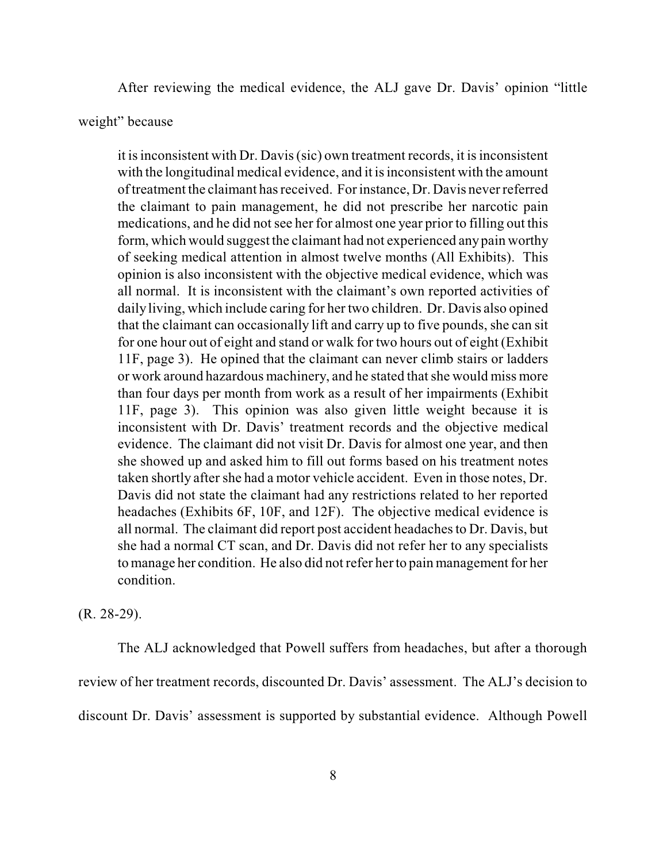After reviewing the medical evidence, the ALJ gave Dr. Davis' opinion "little

### weight" because

it is inconsistent with Dr. Davis (sic) own treatment records, it is inconsistent with the longitudinal medical evidence, and it is inconsistent with the amount of treatment the claimant has received. For instance, Dr. Davis never referred the claimant to pain management, he did not prescribe her narcotic pain medications, and he did not see her for almost one year prior to filling out this form, which would suggest the claimant had not experienced any pain worthy of seeking medical attention in almost twelve months (All Exhibits). This opinion is also inconsistent with the objective medical evidence, which was all normal. It is inconsistent with the claimant's own reported activities of daily living, which include caring for her two children. Dr. Davis also opined that the claimant can occasionally lift and carry up to five pounds, she can sit for one hour out of eight and stand or walk for two hours out of eight (Exhibit 11F, page 3). He opined that the claimant can never climb stairs or ladders or work around hazardous machinery, and he stated that she would miss more than four days per month from work as a result of her impairments (Exhibit 11F, page 3). This opinion was also given little weight because it is inconsistent with Dr. Davis' treatment records and the objective medical evidence. The claimant did not visit Dr. Davis for almost one year, and then she showed up and asked him to fill out forms based on his treatment notes taken shortly after she had a motor vehicle accident. Even in those notes, Dr. Davis did not state the claimant had any restrictions related to her reported headaches (Exhibits 6F, 10F, and 12F). The objective medical evidence is all normal. The claimant did report post accident headaches to Dr. Davis, but she had a normal CT scan, and Dr. Davis did not refer her to any specialists to manage her condition. He also did not refer her to pain management for her condition.

(R. 28-29).

The ALJ acknowledged that Powell suffers from headaches, but after a thorough review of her treatment records, discounted Dr. Davis' assessment. The ALJ's decision to discount Dr. Davis' assessment is supported by substantial evidence. Although Powell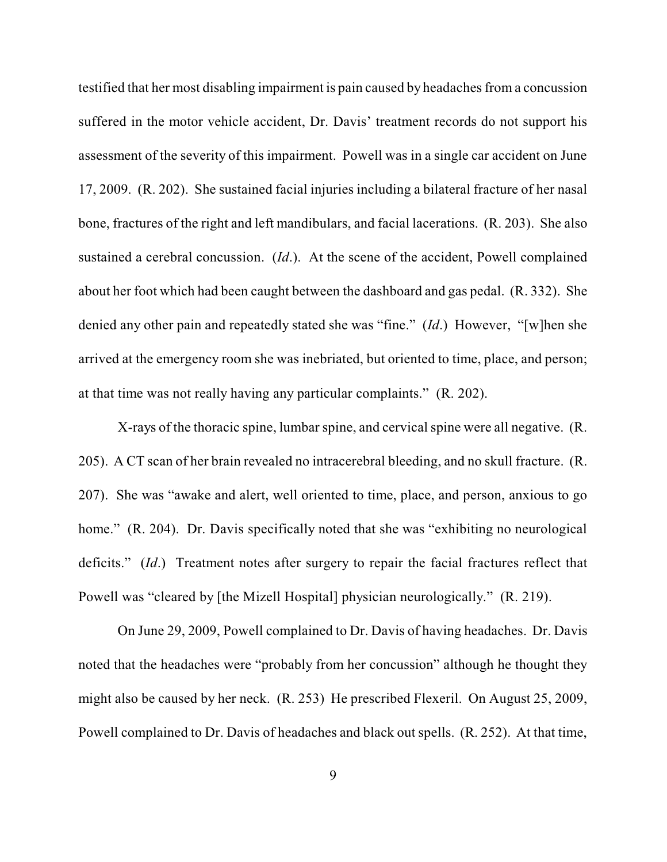testified that her most disabling impairment is pain caused by headaches from a concussion suffered in the motor vehicle accident, Dr. Davis' treatment records do not support his assessment of the severity of this impairment. Powell was in a single car accident on June 17, 2009. (R. 202). She sustained facial injuries including a bilateral fracture of her nasal bone, fractures of the right and left mandibulars, and facial lacerations. (R. 203). She also sustained a cerebral concussion. (*Id*.). At the scene of the accident, Powell complained about her foot which had been caught between the dashboard and gas pedal. (R. 332). She denied any other pain and repeatedly stated she was "fine." (*Id*.) However, "[w]hen she arrived at the emergency room she was inebriated, but oriented to time, place, and person; at that time was not really having any particular complaints." (R. 202).

X-rays of the thoracic spine, lumbar spine, and cervical spine were all negative. (R. 205). A CT scan of her brain revealed no intracerebral bleeding, and no skull fracture. (R. 207). She was "awake and alert, well oriented to time, place, and person, anxious to go home." (R. 204). Dr. Davis specifically noted that she was "exhibiting no neurological deficits." (*Id*.) Treatment notes after surgery to repair the facial fractures reflect that Powell was "cleared by [the Mizell Hospital] physician neurologically." (R. 219).

On June 29, 2009, Powell complained to Dr. Davis of having headaches. Dr. Davis noted that the headaches were "probably from her concussion" although he thought they might also be caused by her neck. (R. 253) He prescribed Flexeril. On August 25, 2009, Powell complained to Dr. Davis of headaches and black out spells. (R. 252). At that time,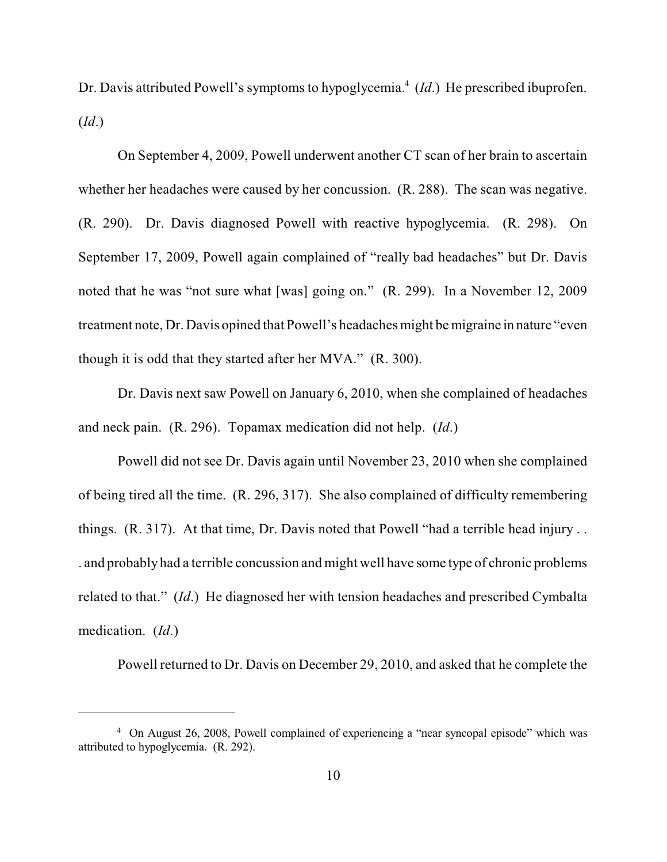Dr. Davis attributed Powell's symptoms to hypoglycemia.<sup>4</sup> (Id.) He prescribed ibuprofen. (*Id*.)

On September 4, 2009, Powell underwent another CT scan of her brain to ascertain whether her headaches were caused by her concussion. (R. 288). The scan was negative. (R. 290). Dr. Davis diagnosed Powell with reactive hypoglycemia. (R. 298). On September 17, 2009, Powell again complained of "really bad headaches" but Dr. Davis noted that he was "not sure what [was] going on." (R. 299). In a November 12, 2009 treatment note, Dr. Davis opined that Powell's headaches might be migraine in nature "even though it is odd that they started after her MVA." (R. 300).

Dr. Davis next saw Powell on January 6, 2010, when she complained of headaches and neck pain. (R. 296). Topamax medication did not help. (*Id*.)

Powell did not see Dr. Davis again until November 23, 2010 when she complained of being tired all the time. (R. 296, 317). She also complained of difficulty remembering things. (R. 317). At that time, Dr. Davis noted that Powell "had a terrible head injury . . . and probably had a terrible concussion and might well have some type of chronic problems related to that." (*Id*.) He diagnosed her with tension headaches and prescribed Cymbalta medication. (*Id*.)

Powell returned to Dr. Davis on December 29, 2010, and asked that he complete the

<sup>&</sup>lt;sup>4</sup> On August 26, 2008, Powell complained of experiencing a "near syncopal episode" which was attributed to hypoglycemia. (R. 292).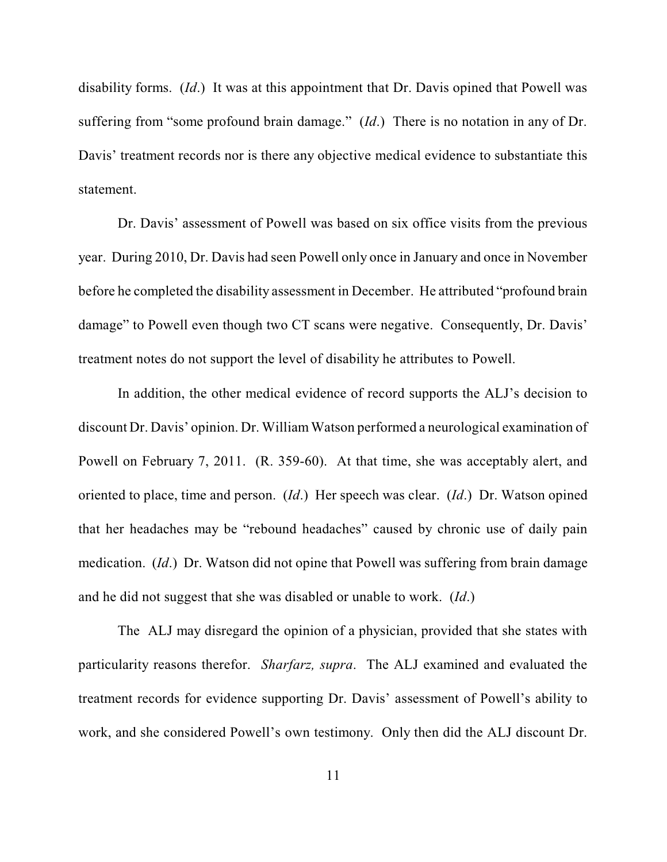disability forms. (*Id*.) It was at this appointment that Dr. Davis opined that Powell was suffering from "some profound brain damage." (*Id*.) There is no notation in any of Dr. Davis' treatment records nor is there any objective medical evidence to substantiate this statement.

Dr. Davis' assessment of Powell was based on six office visits from the previous year. During 2010, Dr. Davis had seen Powell only once in January and once in November before he completed the disability assessment in December. He attributed "profound brain damage" to Powell even though two CT scans were negative. Consequently, Dr. Davis' treatment notes do not support the level of disability he attributes to Powell.

In addition, the other medical evidence of record supports the ALJ's decision to discount Dr. Davis' opinion. Dr. WilliamWatson performed a neurological examination of Powell on February 7, 2011. (R. 359-60). At that time, she was acceptably alert, and oriented to place, time and person. (*Id*.) Her speech was clear. (*Id*.) Dr. Watson opined that her headaches may be "rebound headaches" caused by chronic use of daily pain medication. (*Id*.) Dr. Watson did not opine that Powell was suffering from brain damage and he did not suggest that she was disabled or unable to work. (*Id*.)

The ALJ may disregard the opinion of a physician, provided that she states with particularity reasons therefor. *Sharfarz, supra*. The ALJ examined and evaluated the treatment records for evidence supporting Dr. Davis' assessment of Powell's ability to work, and she considered Powell's own testimony. Only then did the ALJ discount Dr.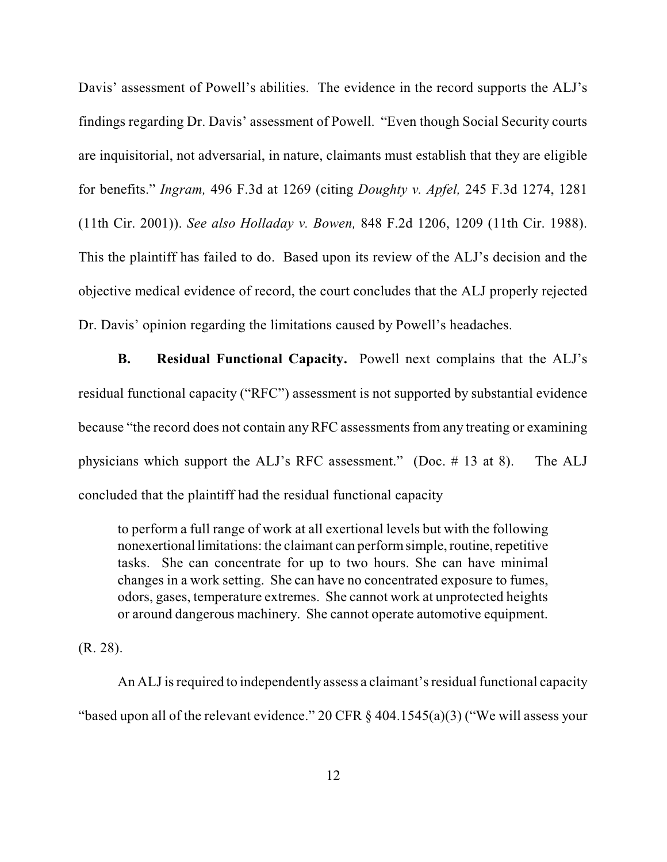Davis' assessment of Powell's abilities. The evidence in the record supports the ALJ's findings regarding Dr. Davis' assessment of Powell. "Even though Social Security courts are inquisitorial, not adversarial, in nature, claimants must establish that they are eligible for benefits." *Ingram,* 496 F.3d at 1269 (citing *Doughty v. Apfel,* 245 F.3d 1274, 1281 (11th Cir. 2001)). *See also Holladay v. Bowen,* 848 F.2d 1206, 1209 (11th Cir. 1988). This the plaintiff has failed to do. Based upon its review of the ALJ's decision and the objective medical evidence of record, the court concludes that the ALJ properly rejected Dr. Davis' opinion regarding the limitations caused by Powell's headaches.

**B. Residual Functional Capacity.** Powell next complains that the ALJ's residual functional capacity ("RFC") assessment is not supported by substantial evidence because "the record does not contain any RFC assessments from any treating or examining physicians which support the ALJ's RFC assessment." (Doc. # 13 at 8). The ALJ concluded that the plaintiff had the residual functional capacity

to perform a full range of work at all exertional levels but with the following nonexertional limitations: the claimant can performsimple,routine, repetitive tasks. She can concentrate for up to two hours. She can have minimal changes in a work setting. She can have no concentrated exposure to fumes, odors, gases, temperature extremes. She cannot work at unprotected heights or around dangerous machinery. She cannot operate automotive equipment.

(R. 28).

An ALJ is required to independently assess a claimant's residual functional capacity "based upon all of the relevant evidence." 20 CFR § 404.1545(a)(3) ("We will assess your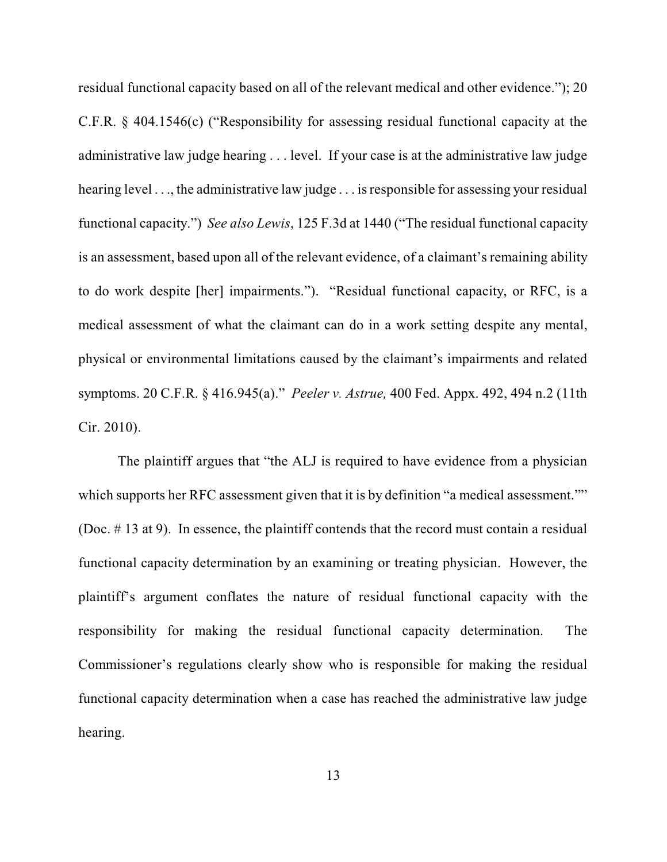residual functional capacity based on all of the relevant medical and other evidence."); 20 C.F.R. § 404.1546(c) ("Responsibility for assessing residual functional capacity at the administrative law judge hearing . . . level. If your case is at the administrative law judge hearing level ..., the administrative law judge ... is responsible for assessing your residual functional capacity.") *See also Lewis*, 125 F.3d at 1440 ("The residual functional capacity is an assessment, based upon all of the relevant evidence, of a claimant's remaining ability to do work despite [her] impairments."). "Residual functional capacity, or RFC, is a medical assessment of what the claimant can do in a work setting despite any mental, physical or environmental limitations caused by the claimant's impairments and related symptoms. 20 C.F.R. § 416.945(a)." *Peeler v. Astrue,* 400 Fed. Appx. 492, 494 n.2 (11th Cir. 2010).

The plaintiff argues that "the ALJ is required to have evidence from a physician which supports her RFC assessment given that it is by definition "a medical assessment."" (Doc. # 13 at 9). In essence, the plaintiff contends that the record must contain a residual functional capacity determination by an examining or treating physician. However, the plaintiff's argument conflates the nature of residual functional capacity with the responsibility for making the residual functional capacity determination. The Commissioner's regulations clearly show who is responsible for making the residual functional capacity determination when a case has reached the administrative law judge hearing.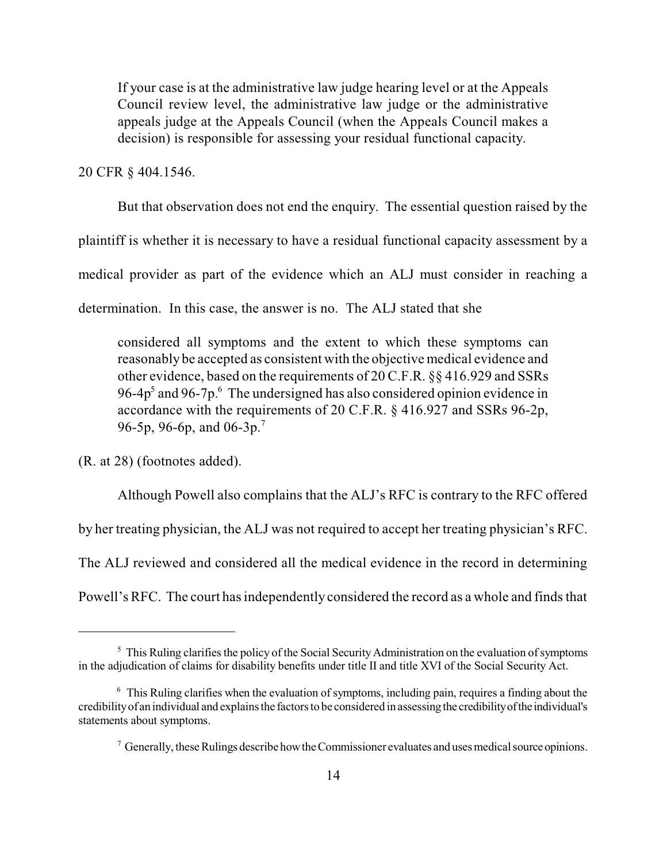If your case is at the administrative law judge hearing level or at the Appeals Council review level, the administrative law judge or the administrative appeals judge at the Appeals Council (when the Appeals Council makes a decision) is responsible for assessing your residual functional capacity.

20 CFR § 404.1546.

But that observation does not end the enquiry. The essential question raised by the

plaintiff is whether it is necessary to have a residual functional capacity assessment by a

medical provider as part of the evidence which an ALJ must consider in reaching a

determination. In this case, the answer is no. The ALJ stated that she

considered all symptoms and the extent to which these symptoms can reasonably be accepted as consistent with the objective medical evidence and other evidence, based on the requirements of 20 C.F.R. §§ 416.929 and SSRs 96-4 $p<sup>5</sup>$  and 96-7 $p<sup>6</sup>$ . The undersigned has also considered opinion evidence in accordance with the requirements of 20 C.F.R. § 416.927 and SSRs 96-2p, 96-5p, 96-6p, and 06-3p.<sup>7</sup>

(R. at 28) (footnotes added).

Although Powell also complains that the ALJ's RFC is contrary to the RFC offered

by her treating physician, the ALJ was not required to accept her treating physician's RFC.

The ALJ reviewed and considered all the medical evidence in the record in determining

Powell's RFC. The court has independently considered the record as a whole and finds that

 $5$  This Ruling clarifies the policy of the Social Security Administration on the evaluation of symptoms in the adjudication of claims for disability benefits under title II and title XVI of the Social Security Act.

 $6$  This Ruling clarifies when the evaluation of symptoms, including pain, requires a finding about the credibilityof an individual and explainsthe factorsto be considered in assessingthe credibilityofthe individual's statements about symptoms.

 $\sigma$  Generally, these Rulings describe how the Commissioner evaluates and uses medical source opinions.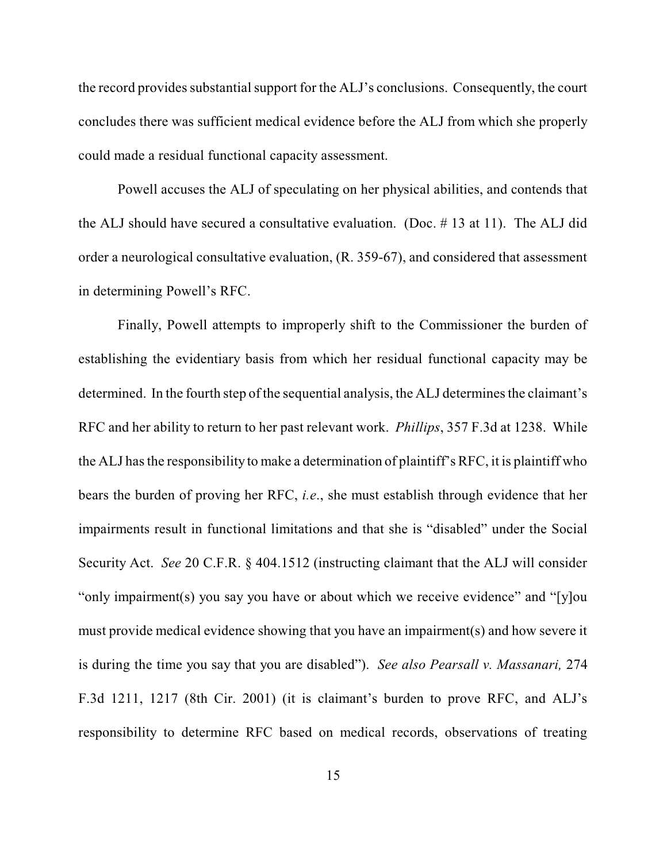the record provides substantial support for the ALJ's conclusions. Consequently, the court concludes there was sufficient medical evidence before the ALJ from which she properly could made a residual functional capacity assessment.

Powell accuses the ALJ of speculating on her physical abilities, and contends that the ALJ should have secured a consultative evaluation. (Doc. # 13 at 11). The ALJ did order a neurological consultative evaluation, (R. 359-67), and considered that assessment in determining Powell's RFC.

Finally, Powell attempts to improperly shift to the Commissioner the burden of establishing the evidentiary basis from which her residual functional capacity may be determined. In the fourth step of the sequential analysis, the ALJ determines the claimant's RFC and her ability to return to her past relevant work. *Phillips*, 357 F.3d at 1238. While the ALJ hasthe responsibility to make a determination of plaintiff's RFC, it is plaintiff who bears the burden of proving her RFC, *i.e*., she must establish through evidence that her impairments result in functional limitations and that she is "disabled" under the Social Security Act. *See* 20 C.F.R. § 404.1512 (instructing claimant that the ALJ will consider "only impairment(s) you say you have or about which we receive evidence" and "[y]ou must provide medical evidence showing that you have an impairment(s) and how severe it is during the time you say that you are disabled"). *See also Pearsall v. Massanari,* 274 F.3d 1211, 1217 (8th Cir. 2001) (it is claimant's burden to prove RFC, and ALJ's responsibility to determine RFC based on medical records, observations of treating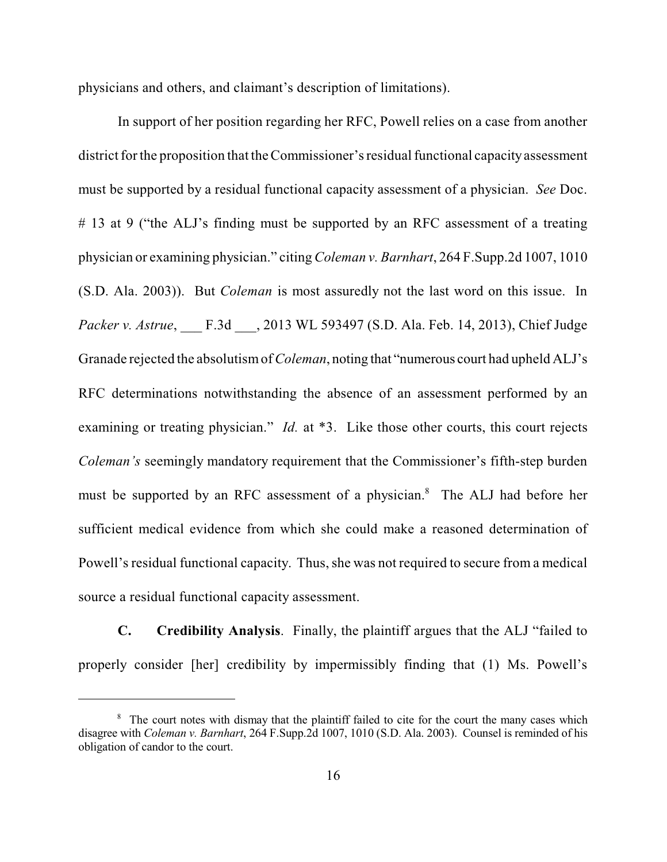physicians and others, and claimant's description of limitations).

In support of her position regarding her RFC, Powell relies on a case from another district for the proposition that the Commissioner's residual functional capacity assessment must be supported by a residual functional capacity assessment of a physician. *See* Doc. # 13 at 9 ("the ALJ's finding must be supported by an RFC assessment of a treating physician or examining physician." citing*Coleman v. Barnhart*, 264 F.Supp.2d 1007, 1010 (S.D. Ala. 2003)). But *Coleman* is most assuredly not the last word on this issue. In *Packer v. Astrue*, \_\_\_ F.3d \_\_\_, 2013 WL 593497 (S.D. Ala. Feb. 14, 2013), Chief Judge Granade rejected the absolutismof*Coleman*, noting that "numerous court had upheld ALJ's RFC determinations notwithstanding the absence of an assessment performed by an examining or treating physician." *Id.* at \*3. Like those other courts, this court rejects *Coleman's* seemingly mandatory requirement that the Commissioner's fifth-step burden must be supported by an RFC assessment of a physician.<sup>8</sup> The ALJ had before her sufficient medical evidence from which she could make a reasoned determination of Powell's residual functional capacity. Thus, she was not required to secure from a medical source a residual functional capacity assessment.

**C. Credibility Analysis**. Finally, the plaintiff argues that the ALJ "failed to properly consider [her] credibility by impermissibly finding that (1) Ms. Powell's

<sup>&</sup>lt;sup>8</sup> The court notes with dismay that the plaintiff failed to cite for the court the many cases which disagree with *Coleman v. Barnhart*, 264 F.Supp.2d 1007, 1010 (S.D. Ala. 2003). Counsel is reminded of his obligation of candor to the court.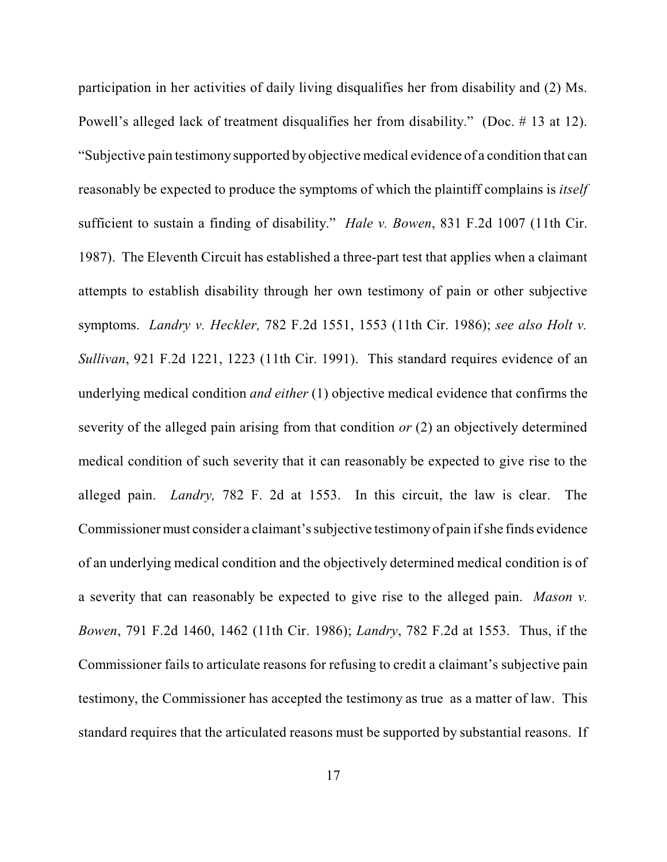participation in her activities of daily living disqualifies her from disability and (2) Ms. Powell's alleged lack of treatment disqualifies her from disability." (Doc. # 13 at 12). "Subjective pain testimony supported by objective medical evidence of a condition that can reasonably be expected to produce the symptoms of which the plaintiff complains is *itself* sufficient to sustain a finding of disability." *Hale v. Bowen*, 831 F.2d 1007 (11th Cir. 1987). The Eleventh Circuit has established a three-part test that applies when a claimant attempts to establish disability through her own testimony of pain or other subjective symptoms. *Landry v. Heckler,* 782 F.2d 1551, 1553 (11th Cir. 1986); *see also Holt v. Sullivan*, 921 F.2d 1221, 1223 (11th Cir. 1991). This standard requires evidence of an underlying medical condition *and either* (1) objective medical evidence that confirms the severity of the alleged pain arising from that condition *or* (2) an objectively determined medical condition of such severity that it can reasonably be expected to give rise to the alleged pain. *Landry,* 782 F. 2d at 1553. In this circuit, the law is clear. The Commissioner must consider a claimant's subjective testimony of pain if she finds evidence of an underlying medical condition and the objectively determined medical condition is of a severity that can reasonably be expected to give rise to the alleged pain. *Mason v. Bowen*, 791 F.2d 1460, 1462 (11th Cir. 1986); *Landry*, 782 F.2d at 1553. Thus, if the Commissioner fails to articulate reasons for refusing to credit a claimant's subjective pain testimony, the Commissioner has accepted the testimony as true as a matter of law. This standard requires that the articulated reasons must be supported by substantial reasons. If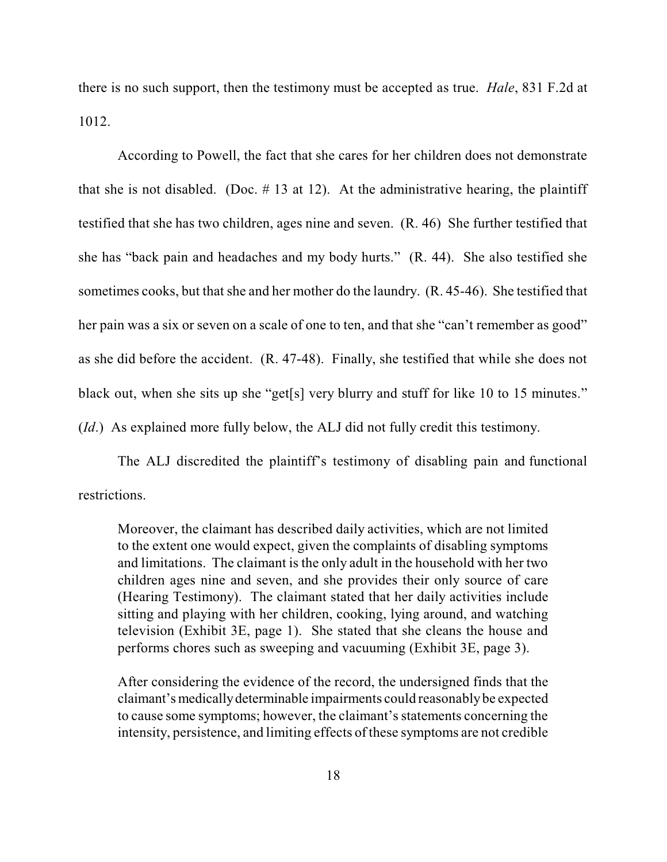there is no such support, then the testimony must be accepted as true. *Hale*, 831 F.2d at 1012.

According to Powell, the fact that she cares for her children does not demonstrate that she is not disabled. (Doc.  $# 13$  at 12). At the administrative hearing, the plaintiff testified that she has two children, ages nine and seven. (R. 46) She further testified that she has "back pain and headaches and my body hurts." (R. 44). She also testified she sometimes cooks, but that she and her mother do the laundry. (R. 45-46). She testified that her pain was a six or seven on a scale of one to ten, and that she "can't remember as good" as she did before the accident. (R. 47-48). Finally, she testified that while she does not black out, when she sits up she "get[s] very blurry and stuff for like 10 to 15 minutes." (*Id*.) As explained more fully below, the ALJ did not fully credit this testimony.

The ALJ discredited the plaintiff's testimony of disabling pain and functional restrictions.

Moreover, the claimant has described daily activities, which are not limited to the extent one would expect, given the complaints of disabling symptoms and limitations. The claimant is the only adult in the household with her two children ages nine and seven, and she provides their only source of care (Hearing Testimony). The claimant stated that her daily activities include sitting and playing with her children, cooking, lying around, and watching television (Exhibit 3E, page 1). She stated that she cleans the house and performs chores such as sweeping and vacuuming (Exhibit 3E, page 3).

After considering the evidence of the record, the undersigned finds that the claimant's medicallydeterminable impairments could reasonablybe expected to cause some symptoms; however, the claimant's statements concerning the intensity, persistence, and limiting effects of these symptoms are not credible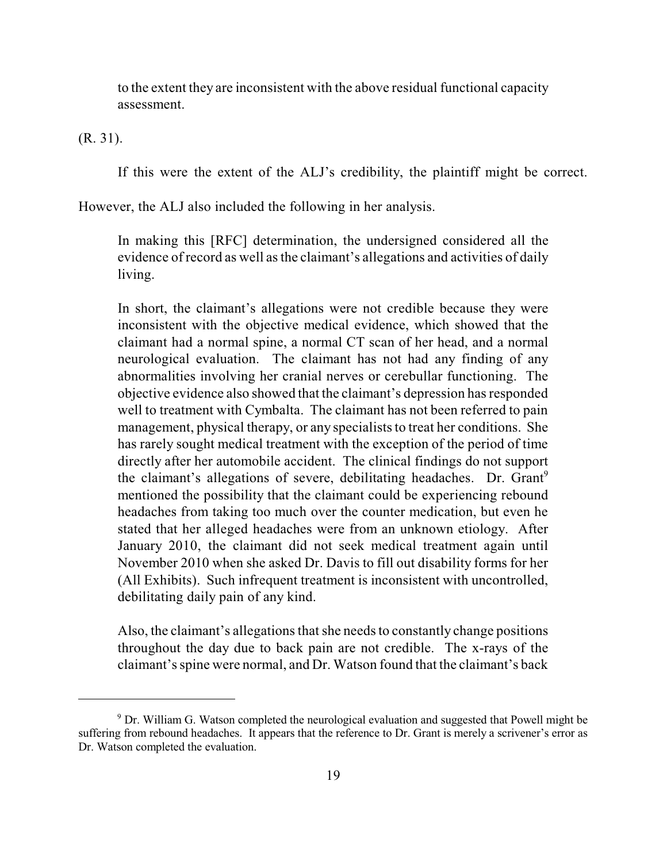to the extent they are inconsistent with the above residual functional capacity assessment.

(R. 31).

If this were the extent of the ALJ's credibility, the plaintiff might be correct.

However, the ALJ also included the following in her analysis.

In making this [RFC] determination, the undersigned considered all the evidence of record as well asthe claimant's allegations and activities of daily living.

In short, the claimant's allegations were not credible because they were inconsistent with the objective medical evidence, which showed that the claimant had a normal spine, a normal CT scan of her head, and a normal neurological evaluation. The claimant has not had any finding of any abnormalities involving her cranial nerves or cerebullar functioning. The objective evidence also showed that the claimant's depression hasresponded well to treatment with Cymbalta. The claimant has not been referred to pain management, physical therapy, or any specialists to treat her conditions. She has rarely sought medical treatment with the exception of the period of time directly after her automobile accident. The clinical findings do not support the claimant's allegations of severe, debilitating headaches. Dr. Grant<sup>9</sup> mentioned the possibility that the claimant could be experiencing rebound headaches from taking too much over the counter medication, but even he stated that her alleged headaches were from an unknown etiology. After January 2010, the claimant did not seek medical treatment again until November 2010 when she asked Dr. Davis to fill out disability forms for her (All Exhibits). Such infrequent treatment is inconsistent with uncontrolled, debilitating daily pain of any kind.

Also, the claimant's allegations that she needs to constantly change positions throughout the day due to back pain are not credible. The x-rays of the claimant'sspine were normal, and Dr. Watson found that the claimant's back

 $9$  Dr. William G. Watson completed the neurological evaluation and suggested that Powell might be suffering from rebound headaches. It appears that the reference to Dr. Grant is merely a scrivener's error as Dr. Watson completed the evaluation.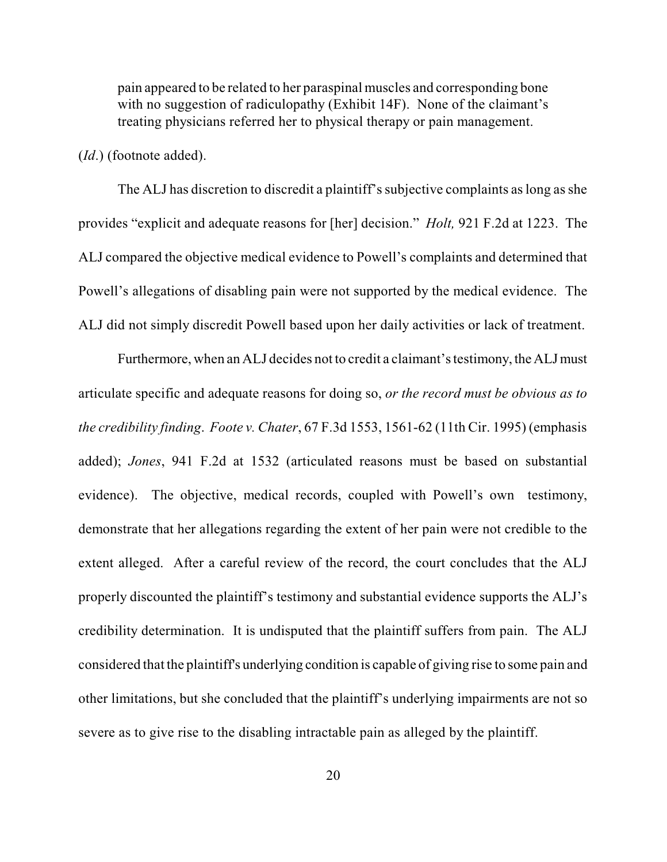pain appeared to be related to her paraspinal muscles and corresponding bone with no suggestion of radiculopathy (Exhibit 14F). None of the claimant's treating physicians referred her to physical therapy or pain management.

(*Id*.) (footnote added).

The ALJ has discretion to discredit a plaintiff's subjective complaints as long as she provides "explicit and adequate reasons for [her] decision." *Holt,* 921 F.2d at 1223. The ALJ compared the objective medical evidence to Powell's complaints and determined that Powell's allegations of disabling pain were not supported by the medical evidence. The ALJ did not simply discredit Powell based upon her daily activities or lack of treatment.

Furthermore, when an ALJ decides not to credit a claimant'stestimony, the ALJ must articulate specific and adequate reasons for doing so, *or the record must be obvious as to the credibility finding*. *Foote v. Chater*, 67 F.3d 1553, 1561-62 (11th Cir. 1995) (emphasis added); *Jones*, 941 F.2d at 1532 (articulated reasons must be based on substantial evidence). The objective, medical records, coupled with Powell's own testimony, demonstrate that her allegations regarding the extent of her pain were not credible to the extent alleged. After a careful review of the record, the court concludes that the ALJ properly discounted the plaintiff's testimony and substantial evidence supports the ALJ's credibility determination. It is undisputed that the plaintiff suffers from pain. The ALJ considered that the plaintiff's underlying condition is capable of giving rise to some pain and other limitations, but she concluded that the plaintiff's underlying impairments are not so severe as to give rise to the disabling intractable pain as alleged by the plaintiff.